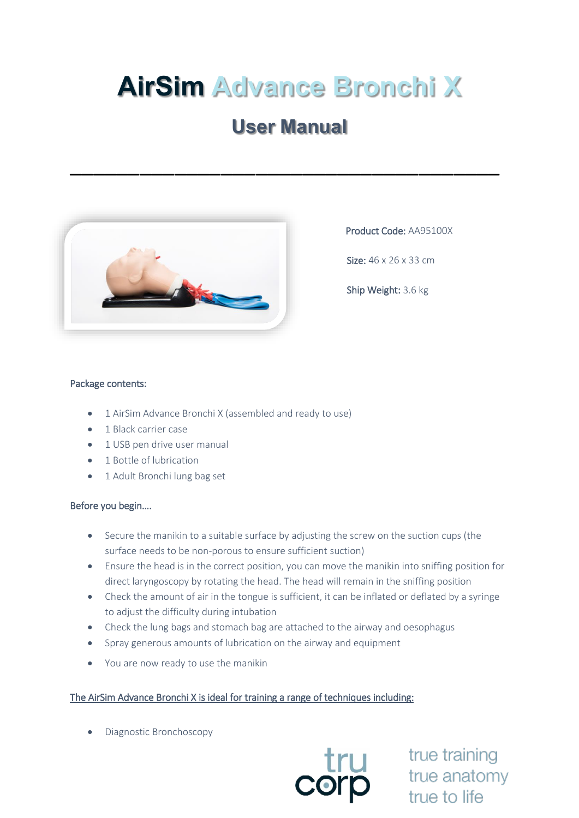# **AirSim Advance Bronchi X**

# **User Manual**

\_\_\_\_\_\_\_\_\_\_\_\_\_\_\_\_\_\_\_\_\_\_\_\_\_\_\_\_\_\_\_\_\_\_\_\_\_



Product Code: AA95100X

Size: 46 x 26 x 33 cm

Ship Weight: 3.6 kg

#### Package contents:

- 1 AirSim Advance Bronchi X (assembled and ready to use)
- 1 Black carrier case
- 1 USB pen drive user manual
- 1 Bottle of lubrication
- 1 Adult Bronchi lung bag set

#### Before you begin….

- Secure the manikin to a suitable surface by adjusting the screw on the suction cups (the surface needs to be non-porous to ensure sufficient suction)
- Ensure the head is in the correct position, you can move the manikin into sniffing position for direct laryngoscopy by rotating the head. The head will remain in the sniffing position
- Check the amount of air in the tongue is sufficient, it can be inflated or deflated by a syringe to adjust the difficulty during intubation
- Check the lung bags and stomach bag are attached to the airway and oesophagus
- Spray generous amounts of lubrication on the airway and equipment
- You are now ready to use the manikin

## The AirSim Advance Bronchi X is ideal for training a range of techniques including:

• Diagnostic Bronchoscopy



true training true anatomy true to life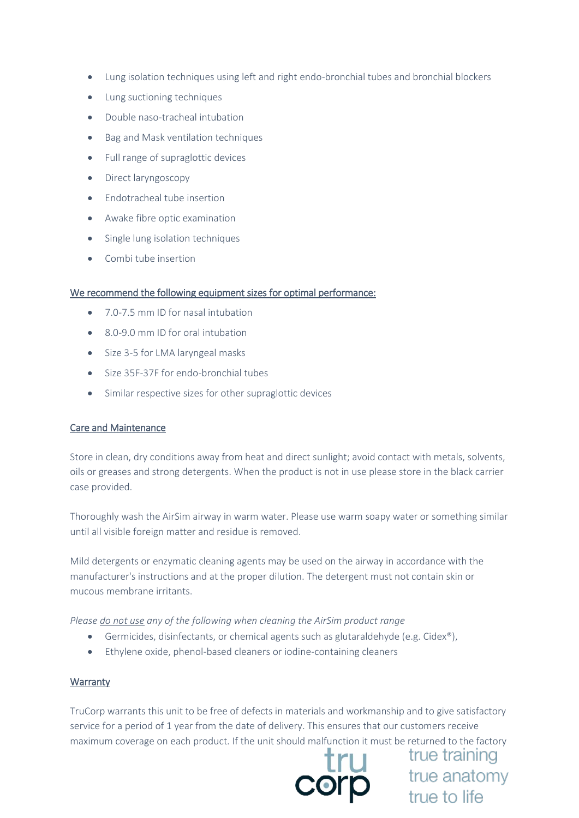- Lung isolation techniques using left and right endo-bronchial tubes and bronchial blockers
- Lung suctioning techniques
- Double naso-tracheal intubation
- Bag and Mask ventilation techniques
- Full range of supraglottic devices
- Direct laryngoscopy
- Endotracheal tube insertion
- Awake fibre optic examination
- Single lung isolation techniques
- Combi tube insertion

## We recommend the following equipment sizes for optimal performance:

- 7.0-7.5 mm ID for nasal intubation
- 8.0-9.0 mm ID for oral intubation
- Size 3-5 for LMA laryngeal masks
- Size 35F-37F for endo-bronchial tubes
- Similar respective sizes for other supraglottic devices

#### Care and Maintenance

Store in clean, dry conditions away from heat and direct sunlight; avoid contact with metals, solvents, oils or greases and strong detergents. When the product is not in use please store in the black carrier case provided.

Thoroughly wash the AirSim airway in warm water. Please use warm soapy water or something similar until all visible foreign matter and residue is removed.

Mild detergents or enzymatic cleaning agents may be used on the airway in accordance with the manufacturer's instructions and at the proper dilution. The detergent must not contain skin or mucous membrane irritants.

*Please do not use any of the following when cleaning the AirSim product range*

- Germicides, disinfectants, or chemical agents such as glutaraldehyde (e.g. Cidex®),
- Ethylene oxide, phenol-based cleaners or iodine-containing cleaners

#### **Warranty**

TruCorp warrants this unit to be free of defects in materials and workmanship and to give satisfactory service for a period of 1 year from the date of delivery. This ensures that our customers receive maximum coverage on each product. If the unit should malfunction it must be returned to the factory



true training **true** true training<br>
true anatomy<br>
true to life